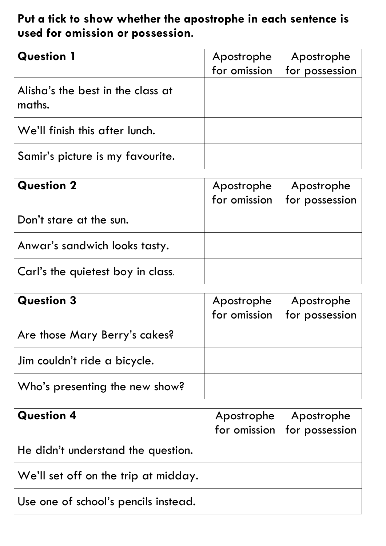## **Put a tick to show whether the apostrophe in each sentence is used for omission or possession**.

| <b>Question 1</b>                           | Apostrophe<br>for omission | Apostrophe<br>for possession |
|---------------------------------------------|----------------------------|------------------------------|
| Alisha's the best in the class at<br>maths. |                            |                              |
| We'll finish this after lunch.              |                            |                              |
| Samir's picture is my favourite.            |                            |                              |

| <b>Question 2</b>                 | Apostrophe<br>for omission | Apostrophe<br>for possession |
|-----------------------------------|----------------------------|------------------------------|
| Don't stare at the sun.           |                            |                              |
| Anwar's sandwich looks tasty.     |                            |                              |
| Carl's the quietest boy in class. |                            |                              |

| <b>Question 3</b>              | Apostrophe   | Apostrophe     |
|--------------------------------|--------------|----------------|
|                                | for omission | for possession |
| Are those Mary Berry's cakes?  |              |                |
| Jim couldn't ride a bicycle.   |              |                |
| Who's presenting the new show? |              |                |

| <b>Question 4</b>                               | Apostrophe | Apostrophe                      |
|-------------------------------------------------|------------|---------------------------------|
|                                                 |            | for omission $ $ for possession |
| He didn't understand the question.              |            |                                 |
| $\sqrt{ }$ We'll set off on the trip at midday. |            |                                 |
| $\vert$ Use one of school's pencils instead.    |            |                                 |